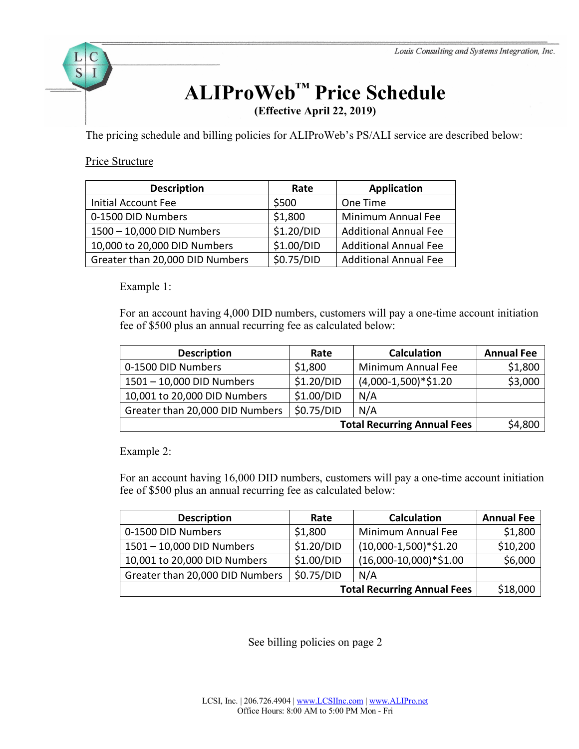# **ALIProWeb™ Price Schedule**

**(Effective April 22, 2019)**

The pricing schedule and billing policies for ALIProWeb's PS/ALI service are described below:

# Price Structure

 $\mathcal C$ 

S

| <b>Description</b>              | Rate       | <b>Application</b>           |
|---------------------------------|------------|------------------------------|
| <b>Initial Account Fee</b>      | \$500      | One Time                     |
| 0-1500 DID Numbers              | \$1,800    | Minimum Annual Fee           |
| 1500 - 10,000 DID Numbers       | \$1.20/DID | <b>Additional Annual Fee</b> |
| 10,000 to 20,000 DID Numbers    | \$1.00/DID | <b>Additional Annual Fee</b> |
| Greater than 20,000 DID Numbers | \$0.75/DID | <b>Additional Annual Fee</b> |

Example 1:

For an account having 4,000 DID numbers, customers will pay a one-time account initiation fee of \$500 plus an annual recurring fee as calculated below:

| <b>Description</b>                 | Rate       | <b>Calculation</b>    | <b>Annual Fee</b> |
|------------------------------------|------------|-----------------------|-------------------|
| 0-1500 DID Numbers                 | \$1,800    | Minimum Annual Fee    | \$1,800           |
| 1501 - 10,000 DID Numbers          | \$1.20/DID | $(4,000-1,500)*$1.20$ | \$3,000           |
| 10,001 to 20,000 DID Numbers       | \$1.00/DID | N/A                   |                   |
| Greater than 20,000 DID Numbers    | \$0.75/DID | N/A                   |                   |
| <b>Total Recurring Annual Fees</b> |            |                       | \$4,800           |

Example 2:

For an account having 16,000 DID numbers, customers will pay a one-time account initiation fee of \$500 plus an annual recurring fee as calculated below:

| <b>Description</b>                 | Rate                                  | <b>Calculation</b>     | <b>Annual Fee</b> |
|------------------------------------|---------------------------------------|------------------------|-------------------|
| 0-1500 DID Numbers                 | \$1,800                               | Minimum Annual Fee     | \$1,800           |
| 1501 - 10,000 DID Numbers          | \$1.20/DID                            | $(10,000-1,500)*$1.20$ | \$10,200          |
| 10,001 to 20,000 DID Numbers       | \$1.00/DID<br>$(16,000-10,000)*$1.00$ |                        | \$6,000           |
| Greater than 20,000 DID Numbers    | \$0.75/DID                            | N/A                    |                   |
| <b>Total Recurring Annual Fees</b> |                                       |                        | \$18,000          |

See billing policies on page 2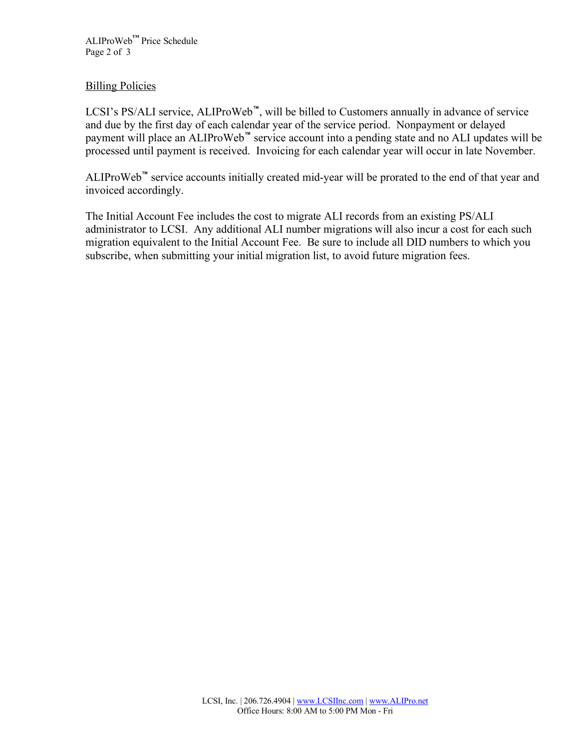ALIProWeb**™** Price Schedule Page 2 of 3

# **Billing Policies**

LCSI's PS/ALI service, ALIProWeb**™**, will be billed to Customers annually in advance of service and due by the first day of each calendar year of the service period. Nonpayment or delayed payment will place an ALIProWeb**™** service account into a pending state and no ALI updates will be processed until payment is received. Invoicing for each calendar year will occur in late November.

ALIProWeb**™** service accounts initially created mid-year will be prorated to the end of that year and invoiced accordingly.

The Initial Account Fee includes the cost to migrate ALI records from an existing PS/ALI administrator to LCSI. Any additional ALI number migrations will also incur a cost for each such migration equivalent to the Initial Account Fee. Be sure to include all DID numbers to which you subscribe, when submitting your initial migration list, to avoid future migration fees.